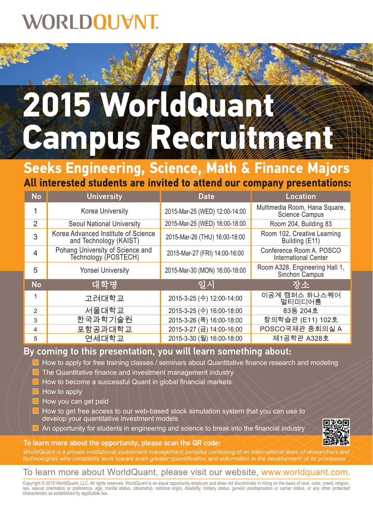## **VORLDOUVNT.**

# **2015 WorldQuant**  Campus Recruitment

**All interested students are invited to attend our company presentations: Seeks Engineering, Science, Math & Finance Majors**

| <b>No</b>      | <b>University</b>                                             | <b>Date</b>                   | <b>Location</b>                                         |
|----------------|---------------------------------------------------------------|-------------------------------|---------------------------------------------------------|
| 1              | Korea University                                              | 2015-Mar-25 (WED) 12:00-14:00 | Multimedia Room, Hana Square,<br><b>Science Campus</b>  |
| 2              | <b>Seoul National University</b>                              | 2015-Mar-25 (WED) 16:00-18:00 | Room 204, Building 83                                   |
| 3              | Korea Advanced Institute of Science<br>and Technology (KAIST) | 2015-Mar-26 (THU) 16:00-18:00 | Room 102, Creative Learning<br>Building (E11)           |
| $\overline{4}$ | Pohang University of Science and<br>Technology (POSTECH)      | 2015-Mar-27 (FRI) 14:00-16:00 | Conference Room A, POSCO<br><b>International Center</b> |
| 5              | <b>Yonsei University</b>                                      | 2015-Mar-30 (MON) 16:00-18:00 | Room A328, Engineering Hall 1,<br>Sinchon Campus        |
| <b>No</b>      | 대학명                                                           | 일시                            | 장소                                                      |
| 1              | 고려대학교                                                         | 2015-3-25 (수) 12:00-14:00     | 이공계 캠퍼스 하나스퀘어<br>멀티미디어룸                                 |
| $\mathcal{P}$  | 서울대학교                                                         | 2015-3-25 (수) 16:00-18:00     | 83동 204호                                                |
| 3              | 한국과학기술원                                                       | 2015-3-26 (목) 16:00-18:00     | 창의학습관 (E11) 102호                                        |
| 4              | 포항공과대학교                                                       | 2015-3-27 (금) 14:00-16:00     | POSCO국제관 중회의실 A                                         |
| 5              | 연세대학교                                                         | 2015-3-30 (월) 16:00-18:00     | 제1공학관 A328호                                             |

#### By coming to this presentation, you will learn something about:

 $\Box$  How to apply for free training classes / seminars about Quantitative finance research and modeling

- The Quantitative finance and investment management industry
- **How to become a successful Quant in global financial markets**
- How to apply
- How you can get paid
- How to get free access to our web-based stock simulation system that you can use to develop your quantitative investment models
- $\Box$  An opportunity for students in engineering and science to break into the financial industry

#### To learn more about the opportunity, please scan the QR code:

*WorldQuant is a private institutional investment management complex consisting of an international team of researchers and technologists who constantly work toward even greater quantification and automation in the development of its processes.*

#### To learn more about WorldQuant, please visit our website, www.worldquant.com.

Copyright © 2015 WorldQuant, LLC. All rights reserved. WorldQuant is an equal opportunity employer and does not discriminate in hiring on the basis of race, color, creed, religion, sex, sexual orientation or preference, age, marital status, citizenship, national origin, disability, military status, genetic predisposition or carrier status, or any other protected characteristic as established by applicable law.